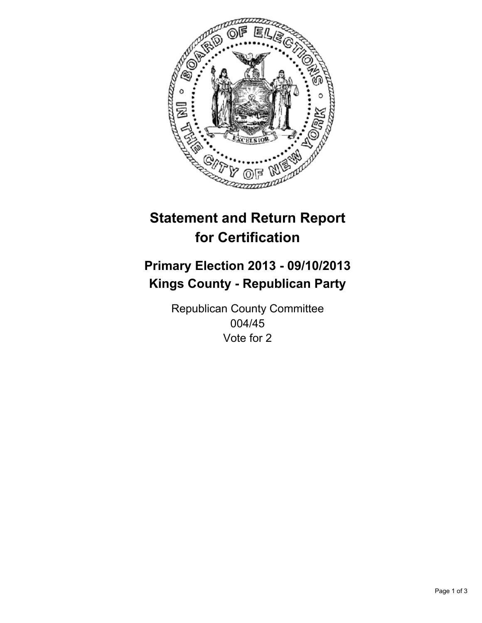

# **Statement and Return Report for Certification**

## **Primary Election 2013 - 09/10/2013 Kings County - Republican Party**

Republican County Committee 004/45 Vote for 2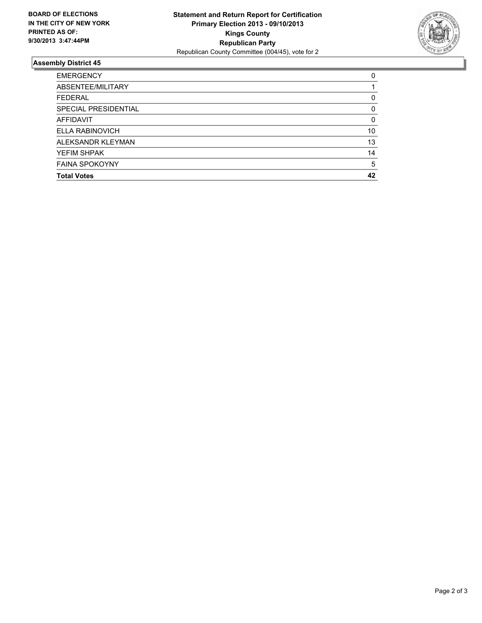

### **Assembly District 45**

| <b>EMERGENCY</b>      | 0        |
|-----------------------|----------|
| ABSENTEE/MILITARY     |          |
| <b>FEDERAL</b>        | 0        |
| SPECIAL PRESIDENTIAL  | 0        |
| <b>AFFIDAVIT</b>      | $\Omega$ |
| ELLA RABINOVICH       | 10       |
| ALEKSANDR KLEYMAN     | 13       |
| YEFIM SHPAK           | 14       |
| <b>FAINA SPOKOYNY</b> | 5        |
| <b>Total Votes</b>    | 42       |